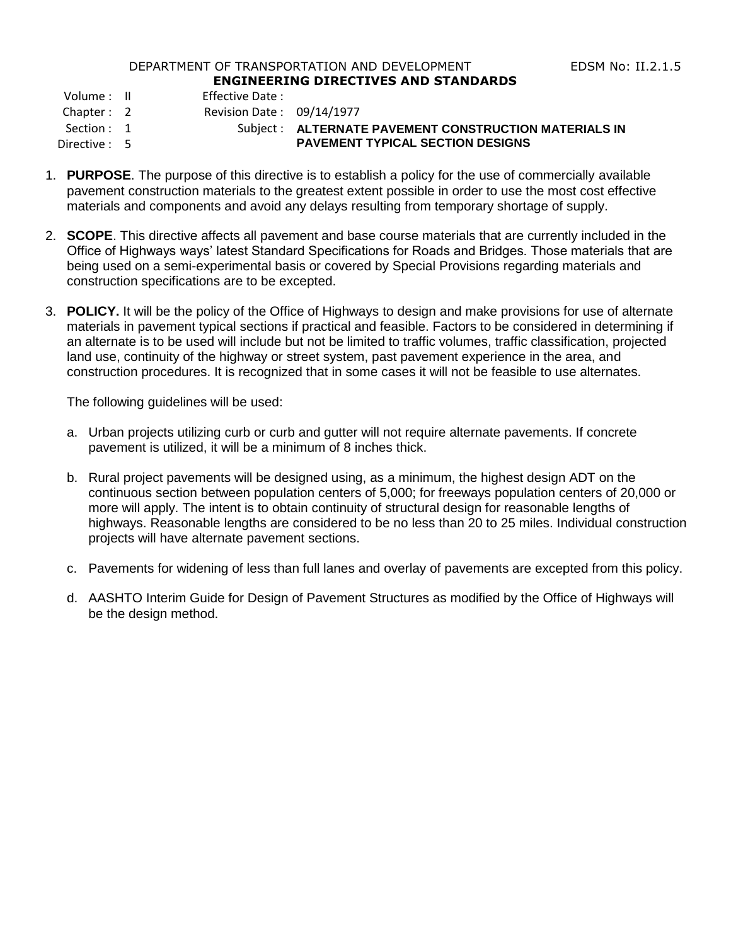## DEPARTMENT OF TRANSPORTATION AND DEVELOPMENT FOR THE RESS RIGHT RESERVED TO THE RESOLUTION OF THE RESOLUTION OF THE RESOLUTION OF THE RESOLUTION OF THE RESOLUTION OF THE RESOLUTION OF THE RESOLUTION OF THE RESOLUTION OF TH **ENGINEERING DIRECTIVES AND STANDARDS**

Volume : II Effective Date :

Chapter : 2 Revision Date : 09/14/1977

Section : 1 Subject : **ALTERNATE PAVEMENT CONSTRUCTION MATERIALS IN** Directive : 5 **PAVEMENT TYPICAL SECTION DESIGNS**

- 1. **PURPOSE**. The purpose of this directive is to establish a policy for the use of commercially available pavement construction materials to the greatest extent possible in order to use the most cost effective materials and components and avoid any delays resulting from temporary shortage of supply.
- 2. **SCOPE**. This directive affects all pavement and base course materials that are currently included in the Office of Highways ways' latest Standard Specifications for Roads and Bridges. Those materials that are being used on a semi-experimental basis or covered by Special Provisions regarding materials and construction specifications are to be excepted.
- 3. **POLICY.** It will be the policy of the Office of Highways to design and make provisions for use of alternate materials in pavement typical sections if practical and feasible. Factors to be considered in determining if an alternate is to be used will include but not be limited to traffic volumes, traffic classification, projected land use, continuity of the highway or street system, past pavement experience in the area, and construction procedures. It is recognized that in some cases it will not be feasible to use alternates.

The following guidelines will be used:

- a. Urban projects utilizing curb or curb and gutter will not require alternate pavements. If concrete pavement is utilized, it will be a minimum of 8 inches thick.
- b. Rural project pavements will be designed using, as a minimum, the highest design ADT on the continuous section between population centers of 5,000; for freeways population centers of 20,000 or more will apply. The intent is to obtain continuity of structural design for reasonable lengths of highways. Reasonable lengths are considered to be no less than 20 to 25 miles. Individual construction projects will have alternate pavement sections.
- c. Pavements for widening of less than full lanes and overlay of pavements are excepted from this policy.
- d. AASHTO Interim Guide for Design of Pavement Structures as modified by the Office of Highways will be the design method.